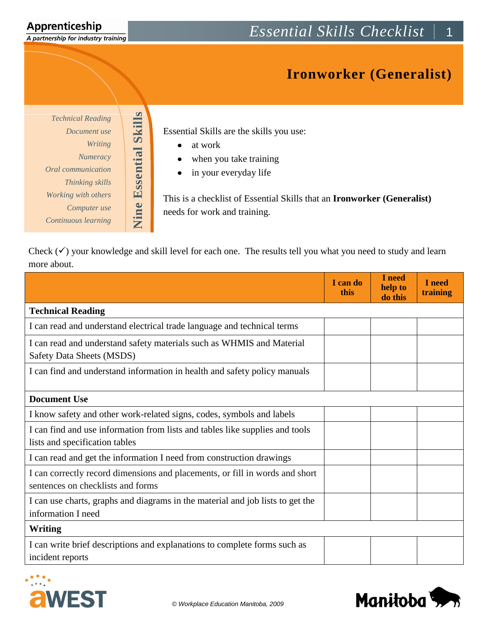A partnership for industry training

## **Ironworker (Generalist)**

*Technical Reading Document use Writing Numeracy Oral communication Thinking skills Working with others Computer use Continuous learning* **Nine Essential Skills**

**Nine Essential Skills** 

Essential Skills are the skills you use:

- at work  $\bullet$
- when you take training  $\bullet$
- in your everyday life  $\bullet$

This is a checklist of Essential Skills that an **Ironworker (Generalist)** needs for work and training.

Check  $(\checkmark)$  your knowledge and skill level for each one. The results tell you what you need to study and learn more about.

|                                                                                                                   | I can do<br>this | I need<br>help to<br>do this | I need<br>training |
|-------------------------------------------------------------------------------------------------------------------|------------------|------------------------------|--------------------|
| <b>Technical Reading</b>                                                                                          |                  |                              |                    |
| I can read and understand electrical trade language and technical terms                                           |                  |                              |                    |
| I can read and understand safety materials such as WHMIS and Material<br>Safety Data Sheets (MSDS)                |                  |                              |                    |
| I can find and understand information in health and safety policy manuals                                         |                  |                              |                    |
| <b>Document Use</b>                                                                                               |                  |                              |                    |
| I know safety and other work-related signs, codes, symbols and labels                                             |                  |                              |                    |
| I can find and use information from lists and tables like supplies and tools<br>lists and specification tables    |                  |                              |                    |
| I can read and get the information I need from construction drawings                                              |                  |                              |                    |
| I can correctly record dimensions and placements, or fill in words and short<br>sentences on checklists and forms |                  |                              |                    |
| I can use charts, graphs and diagrams in the material and job lists to get the<br>information I need              |                  |                              |                    |
| <b>Writing</b>                                                                                                    |                  |                              |                    |
| I can write brief descriptions and explanations to complete forms such as<br>incident reports                     |                  |                              |                    |